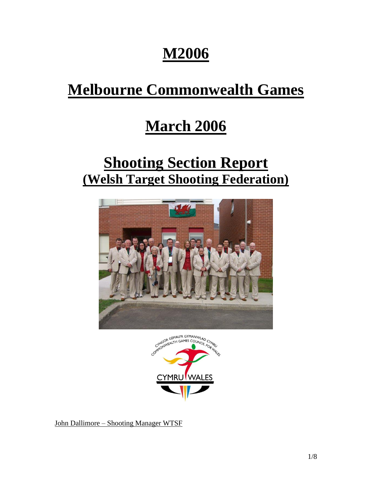# **M2006**

# **Melbourne Commonwealth Games**

## **March 2006**

## **Shooting Section Report (Welsh Target Shooting Federation)**





John Dallimore – Shooting Manager WTSF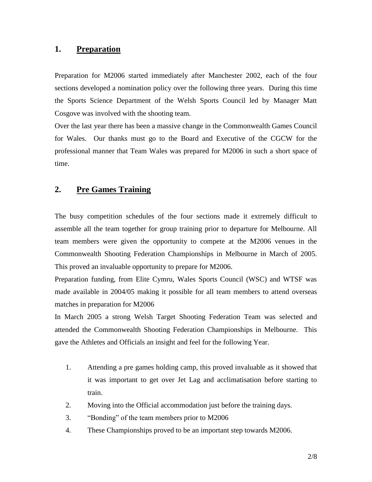### **1. Preparation**

Preparation for M2006 started immediately after Manchester 2002, each of the four sections developed a nomination policy over the following three years. During this time the Sports Science Department of the Welsh Sports Council led by Manager Matt Cosgove was involved with the shooting team.

Over the last year there has been a massive change in the Commonwealth Games Council for Wales. Our thanks must go to the Board and Executive of the CGCW for the professional manner that Team Wales was prepared for M2006 in such a short space of time.

## **2. Pre Games Training**

The busy competition schedules of the four sections made it extremely difficult to assemble all the team together for group training prior to departure for Melbourne. All team members were given the opportunity to compete at the M2006 venues in the Commonwealth Shooting Federation Championships in Melbourne in March of 2005. This proved an invaluable opportunity to prepare for M2006.

Preparation funding, from Elite Cymru, Wales Sports Council (WSC) and WTSF was made available in 2004/05 making it possible for all team members to attend overseas matches in preparation for M2006

In March 2005 a strong Welsh Target Shooting Federation Team was selected and attended the Commonwealth Shooting Federation Championships in Melbourne. This gave the Athletes and Officials an insight and feel for the following Year.

- 1. Attending a pre games holding camp, this proved invaluable as it showed that it was important to get over Jet Lag and acclimatisation before starting to train.
- 2. Moving into the Official accommodation just before the training days.
- 3. "Bonding" of the team members prior to M2006
- 4. These Championships proved to be an important step towards M2006.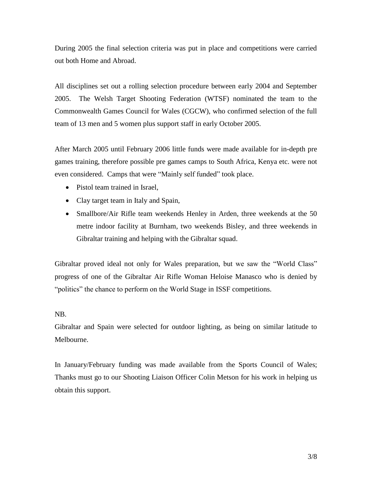During 2005 the final selection criteria was put in place and competitions were carried out both Home and Abroad.

All disciplines set out a rolling selection procedure between early 2004 and September 2005. The Welsh Target Shooting Federation (WTSF) nominated the team to the Commonwealth Games Council for Wales (CGCW), who confirmed selection of the full team of 13 men and 5 women plus support staff in early October 2005.

After March 2005 until February 2006 little funds were made available for in-depth pre games training, therefore possible pre games camps to South Africa, Kenya etc. were not even considered. Camps that were "Mainly self funded" took place.

- Pistol team trained in Israel,
- Clay target team in Italy and Spain,
- Smallbore/Air Rifle team weekends Henley in Arden, three weekends at the 50 metre indoor facility at Burnham, two weekends Bisley, and three weekends in Gibraltar training and helping with the Gibraltar squad.

Gibraltar proved ideal not only for Wales preparation, but we saw the "World Class" progress of one of the Gibraltar Air Rifle Woman Heloise Manasco who is denied by "politics" the chance to perform on the World Stage in ISSF competitions.

#### NB.

Gibraltar and Spain were selected for outdoor lighting, as being on similar latitude to Melbourne.

In January/February funding was made available from the Sports Council of Wales; Thanks must go to our Shooting Liaison Officer Colin Metson for his work in helping us obtain this support.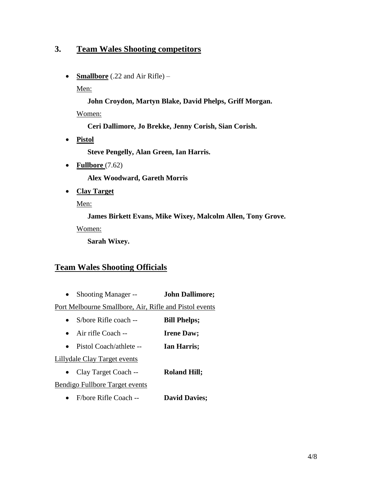## **3. Team Wales Shooting competitors**

• **Smallbore** (.22 and Air Rifle) –

Men:

**John Croydon, Martyn Blake, David Phelps, Griff Morgan.**

Women:

**Ceri Dallimore, Jo Brekke, Jenny Corish, Sian Corish.**

• **Pistol**

**Steve Pengelly, Alan Green, Ian Harris.**

• **Fullbore** (7.62)

**Alex Woodward, Gareth Morris**

• **Clay Target**

Men:

**James Birkett Evans, Mike Wixey, Malcolm Allen, Tony Grove.**

Women:

**Sarah Wixey.**

## **Team Wales Shooting Officials**

• Shooting Manager -- **John Dallimore;**

Port Melbourne Smallbore, Air, Rifle and Pistol events

- S/bore Rifle coach -- **Bill Phelps;**
- Air rifle Coach -- **Irene Daw;**
- Pistol Coach/athlete -- **Ian Harris;**

Lillydale Clay Target events

• Clay Target Coach -- **Roland Hill;**

Bendigo Fullbore Target events

• F/bore Rifle Coach -- **David Davies;**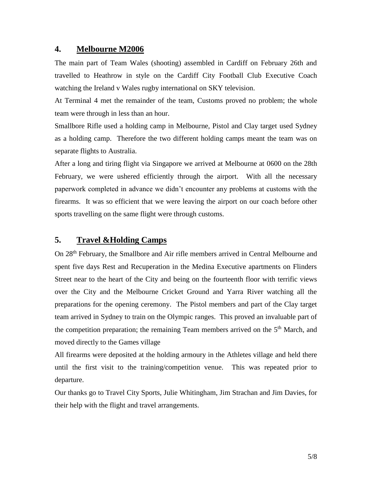#### **4. Melbourne M2006**

The main part of Team Wales (shooting) assembled in Cardiff on February 26th and travelled to Heathrow in style on the Cardiff City Football Club Executive Coach watching the Ireland v Wales rugby international on SKY television.

At Terminal 4 met the remainder of the team, Customs proved no problem; the whole team were through in less than an hour.

Smallbore Rifle used a holding camp in Melbourne, Pistol and Clay target used Sydney as a holding camp. Therefore the two different holding camps meant the team was on separate flights to Australia.

After a long and tiring flight via Singapore we arrived at Melbourne at 0600 on the 28th February, we were ushered efficiently through the airport. With all the necessary paperwork completed in advance we didn't encounter any problems at customs with the firearms. It was so efficient that we were leaving the airport on our coach before other sports travelling on the same flight were through customs.

## **5. Travel &Holding Camps**

On 28th February, the Smallbore and Air rifle members arrived in Central Melbourne and spent five days Rest and Recuperation in the Medina Executive apartments on Flinders Street near to the heart of the City and being on the fourteenth floor with terrific views over the City and the Melbourne Cricket Ground and Yarra River watching all the preparations for the opening ceremony. The Pistol members and part of the Clay target team arrived in Sydney to train on the Olympic ranges. This proved an invaluable part of the competition preparation; the remaining Team members arrived on the  $5<sup>th</sup>$  March, and moved directly to the Games village

All firearms were deposited at the holding armoury in the Athletes village and held there until the first visit to the training/competition venue. This was repeated prior to departure.

Our thanks go to Travel City Sports, Julie Whitingham, Jim Strachan and Jim Davies, for their help with the flight and travel arrangements.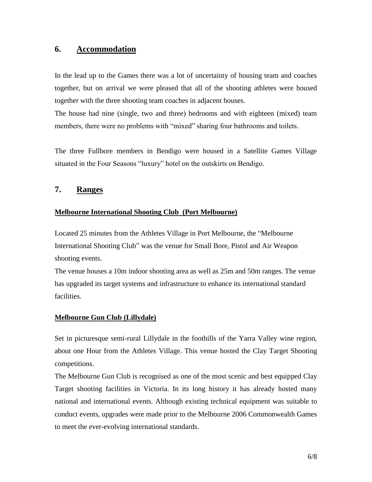#### **6. Accommodation**

In the lead up to the Games there was a lot of uncertainty of housing team and coaches together, but on arrival we were pleased that all of the shooting athletes were housed together with the three shooting team coaches in adjacent houses.

The house had nine (single, two and three) bedrooms and with eighteen (mixed) team members, there were no problems with "mixed" sharing four bathrooms and toilets.

The three Fullbore members in Bendigo were housed in a Satellite Games Village situated in the Four Seasons "luxury" hotel on the outskirts on Bendigo.

#### **7. Ranges**

#### **Melbourne International Shooting Club (Port Melbourne)**

Located 25 minutes from the Athletes Village in Port Melbourne, the "Melbourne International Shooting Club" was the venue for Small Bore, Pistol and Air Weapon shooting events.

The venue houses a 10m indoor shooting area as well as 25m and 50m ranges. The venue has upgraded its target systems and infrastructure to enhance its international standard facilities.

#### **Melbourne Gun Club (Lillydale)**

Set in picturesque semi-rural Lillydale in the foothills of the Yarra Valley wine region, about one Hour from the Athletes Village. This venue hosted the Clay Target Shooting competitions.

The Melbourne Gun Club is recognised as one of the most scenic and best equipped Clay Target shooting facilities in Victoria. In its long history it has already hosted many national and international events. Although existing technical equipment was suitable to conduct events, upgrades were made prior to the Melbourne 2006 Commonwealth Games to meet the ever-evolving international standards.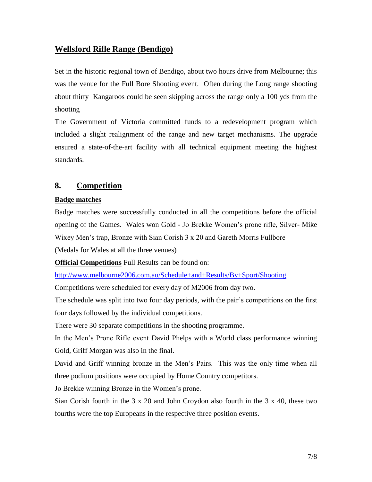## **Wellsford Rifle Range (Bendigo)**

Set in the historic regional town of Bendigo, about two hours drive from Melbourne; this was the venue for the Full Bore Shooting event. Often during the Long range shooting about thirty Kangaroos could be seen skipping across the range only a 100 yds from the shooting

The Government of Victoria committed funds to a redevelopment program which included a slight realignment of the range and new target mechanisms. The upgrade ensured a state-of-the-art facility with all technical equipment meeting the highest standards.

#### **8. Competition**

#### **Badge matches**

Badge matches were successfully conducted in all the competitions before the official opening of the Games. Wales won Gold - Jo Brekke Women's prone rifle, Silver- Mike Wixey Men's trap, Bronze with Sian Corish 3 x 20 and Gareth Morris Fullbore

(Medals for Wales at all the three venues)

**Official Competitions** Full Results can be found on:

<http://www.melbourne2006.com.au/Schedule+and+Results/By+Sport/Shooting>

Competitions were scheduled for every day of M2006 from day two.

The schedule was split into two four day periods, with the pair's competitions on the first four days followed by the individual competitions.

There were 30 separate competitions in the shooting programme.

In the Men's Prone Rifle event David Phelps with a World class performance winning Gold, Griff Morgan was also in the final.

David and Griff winning bronze in the Men's Pairs. This was the only time when all three podium positions were occupied by Home Country competitors.

Jo Brekke winning Bronze in the Women's prone.

Sian Corish fourth in the  $3 \times 20$  and John Croydon also fourth in the  $3 \times 40$ , these two fourths were the top Europeans in the respective three position events.